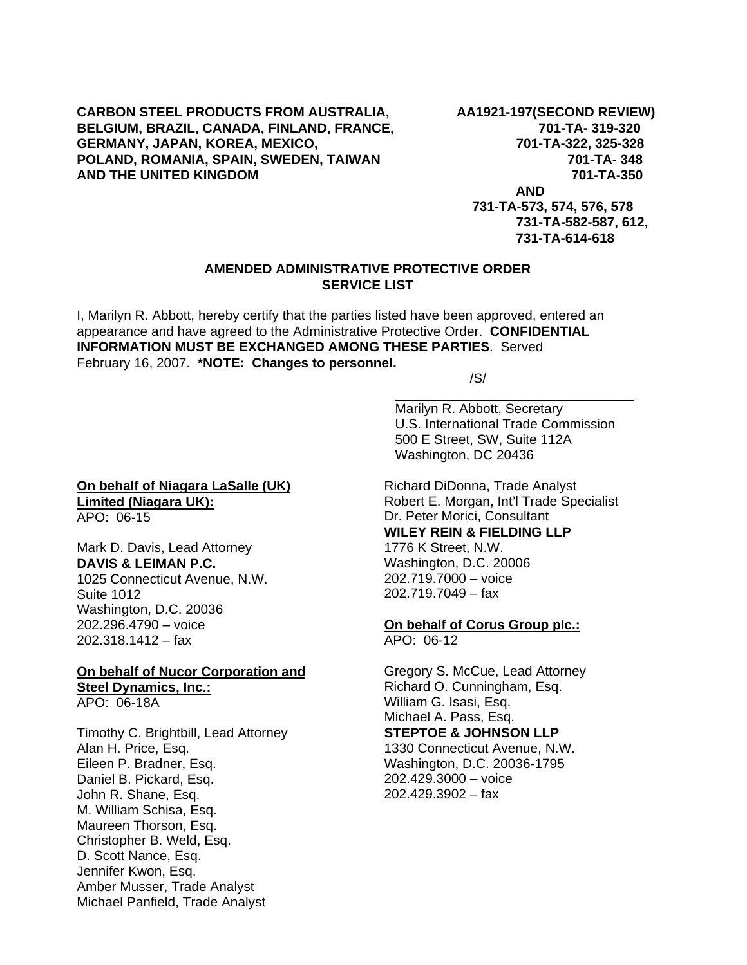### **CARBON STEEL PRODUCTS FROM AUSTRALIA, AA1921-197(SECOND REVIEW)**  BELGIUM, BRAZIL, CANADA, FINLAND, FRANCE, 701-TA-319-320 **GERMANY, JAPAN, KOREA, MEXICO, 701-TA-322, 325-328**  POLAND, ROMANIA, SPAIN, SWEDEN, TAIWAN **1988 1998 1-201-TA- 348 AND THE UNITED KINGDOM 701-TA-350**

 **AND** 

 **731-TA-573, 574, 576, 578 731-TA-582-587, 612, 731-TA-614-618**

### **AMENDED ADMINISTRATIVE PROTECTIVE ORDER SERVICE LIST**

I, Marilyn R. Abbott, hereby certify that the parties listed have been approved, entered an appearance and have agreed to the Administrative Protective Order. **CONFIDENTIAL INFORMATION MUST BE EXCHANGED AMONG THESE PARTIES**. Served February 16, 2007. **\*NOTE: Changes to personnel.** 

 $\overline{\phantom{a}}$  , and the contract of the contract of the contract of the contract of the contract of the contract of the contract of the contract of the contract of the contract of the contract of the contract of the contrac

/S/

Marilyn R. Abbott, Secretary U.S. International Trade Commission 500 E Street, SW, Suite 112A Washington, DC 20436

Richard DiDonna, Trade Analyst Robert E. Morgan, Int'l Trade Specialist Dr. Peter Morici, Consultant **WILEY REIN & FIELDING LLP** 1776 K Street, N.W. Washington, D.C. 20006 202.719.7000 – voice 202.719.7049 – fax

**On behalf of Corus Group plc.:** APO: 06-12

Gregory S. McCue, Lead Attorney Richard O. Cunningham, Esq. William G. Isasi, Esq. Michael A. Pass, Esq. **STEPTOE & JOHNSON LLP** 1330 Connecticut Avenue, N.W.

Washington, D.C. 20036-1795 202.429.3000 – voice 202.429.3902 – fax

#### **On behalf of Niagara LaSalle (UK) Limited (Niagara UK):** APO: 06-15

Mark D. Davis, Lead Attorney **DAVIS & LEIMAN P.C.** 1025 Connecticut Avenue, N.W. Suite 1012 Washington, D.C. 20036 202.296.4790 – voice

202.318.1412 – fax

# **On behalf of Nucor Corporation and Steel Dynamics, Inc.:**

APO: 06-18A

Timothy C. Brightbill, Lead Attorney Alan H. Price, Esq. Eileen P. Bradner, Esq. Daniel B. Pickard, Esq. John R. Shane, Esq. M. William Schisa, Esq. Maureen Thorson, Esq. Christopher B. Weld, Esq. D. Scott Nance, Esq. Jennifer Kwon, Esq. Amber Musser, Trade Analyst Michael Panfield, Trade Analyst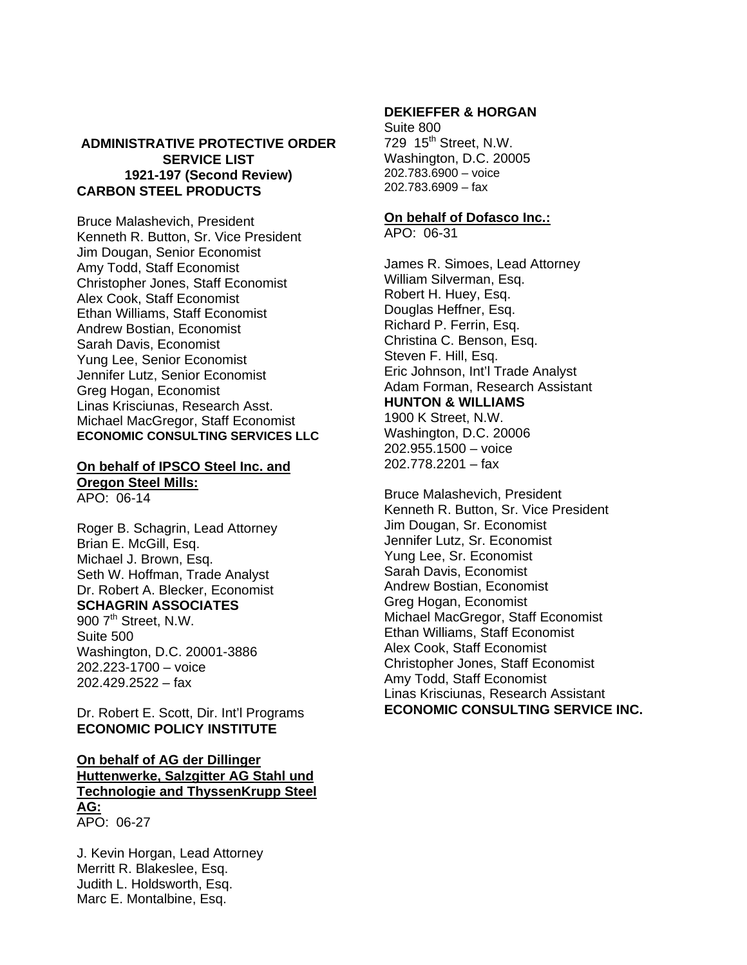### **ADMINISTRATIVE PROTECTIVE ORDER SERVICE LIST 1921-197 (Second Review) CARBON STEEL PRODUCTS**

Bruce Malashevich, President Kenneth R. Button, Sr. Vice President Jim Dougan, Senior Economist Amy Todd, Staff Economist Christopher Jones, Staff Economist Alex Cook, Staff Economist Ethan Williams, Staff Economist Andrew Bostian, Economist Sarah Davis, Economist Yung Lee, Senior Economist Jennifer Lutz, Senior Economist Greg Hogan, Economist Linas Krisciunas, Research Asst. Michael MacGregor, Staff Economist **ECONOMIC CONSULTING SERVICES LLC**

# **On behalf of IPSCO Steel Inc. and Oregon Steel Mills:**

APO: 06-14

Roger B. Schagrin, Lead Attorney Brian E. McGill, Esq. Michael J. Brown, Esq. Seth W. Hoffman, Trade Analyst Dr. Robert A. Blecker, Economist **SCHAGRIN ASSOCIATES** 900 7<sup>th</sup> Street, N.W. Suite 500

Washington, D.C. 20001-3886 202.223-1700 – voice 202.429.2522 – fax

Dr. Robert E. Scott, Dir. Int'l Programs **ECONOMIC POLICY INSTITUTE**

### **On behalf of AG der Dillinger Huttenwerke, Salzgitter AG Stahl und Technologie and ThyssenKrupp Steel AG:** APO: 06-27

J. Kevin Horgan, Lead Attorney Merritt R. Blakeslee, Esq. Judith L. Holdsworth, Esq. Marc E. Montalbine, Esq.

### **DEKIEFFER & HORGAN**

Suite 800 729 15<sup>th</sup> Street, N.W. Washington, D.C. 20005 202.783.6900 – voice 202.783.6909 – fax

### **On behalf of Dofasco Inc.:**

APO: 06-31

James R. Simoes, Lead Attorney William Silverman, Esq. Robert H. Huey, Esq. Douglas Heffner, Esq. Richard P. Ferrin, Esq. Christina C. Benson, Esq. Steven F. Hill, Esq. Eric Johnson, Int'l Trade Analyst Adam Forman, Research Assistant **HUNTON & WILLIAMS** 1900 K Street, N.W. Washington, D.C. 20006 202.955.1500 – voice 202.778.2201 – fax

Bruce Malashevich, President Kenneth R. Button, Sr. Vice President Jim Dougan, Sr. Economist Jennifer Lutz, Sr. Economist Yung Lee, Sr. Economist Sarah Davis, Economist Andrew Bostian, Economist Greg Hogan, Economist Michael MacGregor, Staff Economist Ethan Williams, Staff Economist Alex Cook, Staff Economist Christopher Jones, Staff Economist Amy Todd, Staff Economist Linas Krisciunas, Research Assistant **ECONOMIC CONSULTING SERVICE INC.**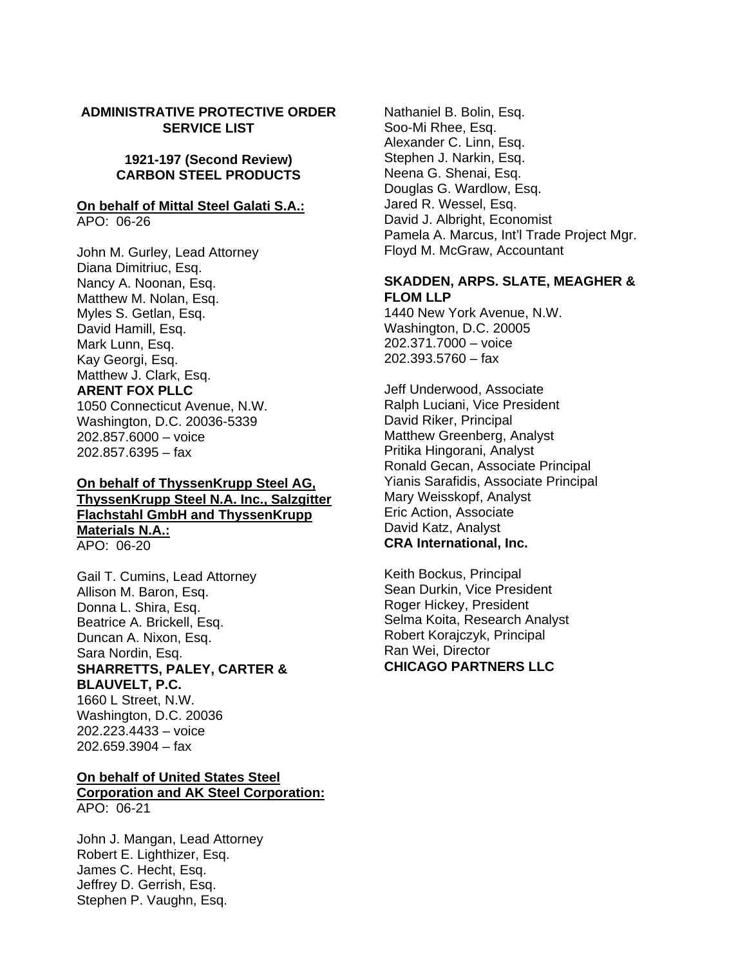#### **ADMINISTRATIVE PROTECTIVE ORDER SERVICE LIST**

### **1921-197 (Second Review) CARBON STEEL PRODUCTS**

#### **On behalf of Mittal Steel Galati S.A.:**

APO: 06-26

John M. Gurley, Lead Attorney Diana Dimitriuc, Esq. Nancy A. Noonan, Esq. Matthew M. Nolan, Esq. Myles S. Getlan, Esq. David Hamill, Esq. Mark Lunn, Esq. Kay Georgi, Esq. Matthew J. Clark, Esq. **ARENT FOX PLLC** 1050 Connecticut Avenue, N.W. Washington, D.C. 20036-5339 202.857.6000 – voice

202.857.6395 – fax

### **On behalf of ThyssenKrupp Steel AG, ThyssenKrupp Steel N.A. Inc., Salzgitter Flachstahl GmbH and ThyssenKrupp Materials N.A.:** APO: 06-20

Gail T. Cumins, Lead Attorney Allison M. Baron, Esq. Donna L. Shira, Esq. Beatrice A. Brickell, Esq. Duncan A. Nixon, Esq. Sara Nordin, Esq. **SHARRETTS, PALEY, CARTER & BLAUVELT, P.C.** 1660 L Street, N.W. Washington, D.C. 20036 202.223.4433 – voice

## **On behalf of United States Steel Corporation and AK Steel Corporation:** APO: 06-21

John J. Mangan, Lead Attorney Robert E. Lighthizer, Esq. James C. Hecht, Esq. Jeffrey D. Gerrish, Esq. Stephen P. Vaughn, Esq.

202.659.3904 – fax

Nathaniel B. Bolin, Esq. Soo-Mi Rhee, Esq. Alexander C. Linn, Esq. Stephen J. Narkin, Esq. Neena G. Shenai, Esq. Douglas G. Wardlow, Esq. Jared R. Wessel, Esq. David J. Albright, Economist Pamela A. Marcus, Int'l Trade Project Mgr. Floyd M. McGraw, Accountant

## **SKADDEN, ARPS. SLATE, MEAGHER & FLOM LLP**

1440 New York Avenue, N.W. Washington, D.C. 20005 202.371.7000 – voice 202.393.5760 – fax

Jeff Underwood, Associate Ralph Luciani, Vice President David Riker, Principal Matthew Greenberg, Analyst Pritika Hingorani, Analyst Ronald Gecan, Associate Principal Yianis Sarafidis, Associate Principal Mary Weisskopf, Analyst Eric Action, Associate David Katz, Analyst **CRA International, Inc.**

Keith Bockus, Principal Sean Durkin, Vice President Roger Hickey, President Selma Koita, Research Analyst Robert Korajczyk, Principal Ran Wei, Director **CHICAGO PARTNERS LLC**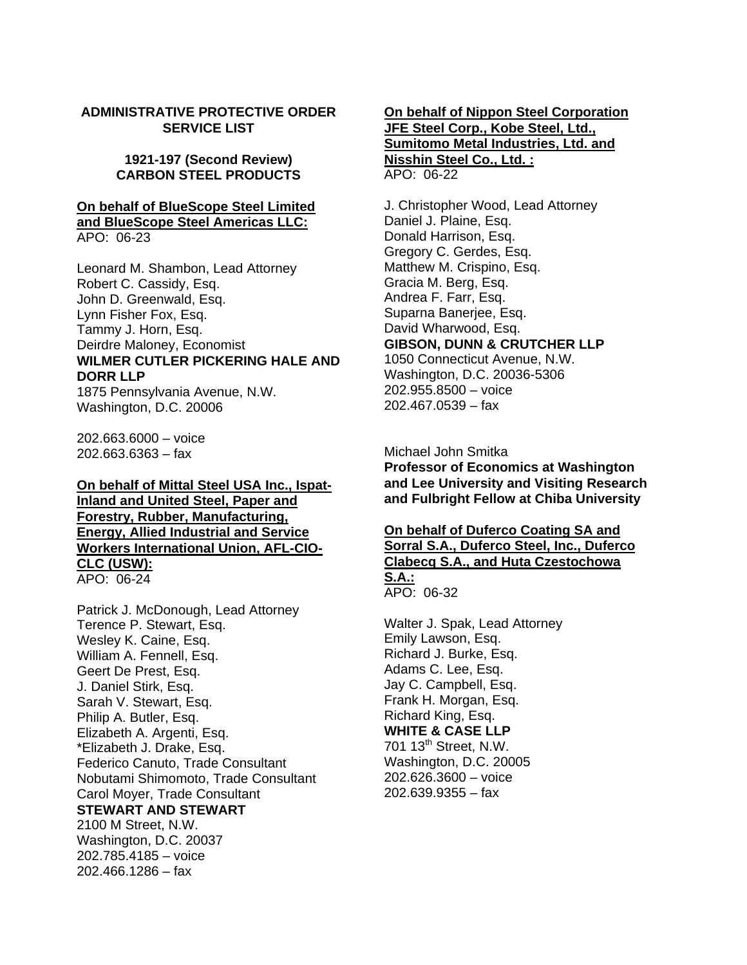### **ADMINISTRATIVE PROTECTIVE ORDER SERVICE LIST**

### **1921-197 (Second Review) CARBON STEEL PRODUCTS**

# **On behalf of BlueScope Steel Limited and BlueScope Steel Americas LLC:**

APO: 06-23

Leonard M. Shambon, Lead Attorney Robert C. Cassidy, Esq. John D. Greenwald, Esq. Lynn Fisher Fox, Esq. Tammy J. Horn, Esq. Deirdre Maloney, Economist **WILMER CUTLER PICKERING HALE AND DORR LLP**

1875 Pennsylvania Avenue, N.W. Washington, D.C. 20006

202.663.6000 – voice 202.663.6363 – fax

**On behalf of Mittal Steel USA Inc., Ispat-Inland and United Steel, Paper and Forestry, Rubber, Manufacturing, Energy, Allied Industrial and Service Workers International Union, AFL-CIO-CLC (USW):** APO: 06-24

Patrick J. McDonough, Lead Attorney Terence P. Stewart, Esq. Wesley K. Caine, Esq. William A. Fennell, Esq. Geert De Prest, Esq. J. Daniel Stirk, Esq. Sarah V. Stewart, Esq. Philip A. Butler, Esq. Elizabeth A. Argenti, Esq. \*Elizabeth J. Drake, Esq. Federico Canuto, Trade Consultant Nobutami Shimomoto, Trade Consultant Carol Moyer, Trade Consultant **STEWART AND STEWART** 2100 M Street, N.W. Washington, D.C. 20037 202.785.4185 – voice 202.466.1286 – fax

### **On behalf of Nippon Steel Corporation JFE Steel Corp., Kobe Steel, Ltd., Sumitomo Metal Industries, Ltd. and Nisshin Steel Co., Ltd. :** APO: 06-22

J. Christopher Wood, Lead Attorney Daniel J. Plaine, Esq. Donald Harrison, Esq. Gregory C. Gerdes, Esq. Matthew M. Crispino, Esq. Gracia M. Berg, Esq. Andrea F. Farr, Esq. Suparna Banerjee, Esq. David Wharwood, Esq. **GIBSON, DUNN & CRUTCHER LLP** 1050 Connecticut Avenue, N.W. Washington, D.C. 20036-5306 202.955.8500 – voice 202.467.0539 – fax

Michael John Smitka

**Professor of Economics at Washington and Lee University and Visiting Research and Fulbright Fellow at Chiba University** 

### **On behalf of Duferco Coating SA and Sorral S.A., Duferco Steel, Inc., Duferco Clabecq S.A., and Huta Czestochowa S.A.:** APO: 06-32

Walter J. Spak, Lead Attorney Emily Lawson, Esq. Richard J. Burke, Esq. Adams C. Lee, Esq. Jay C. Campbell, Esq. Frank H. Morgan, Esq. Richard King, Esq. **WHITE & CASE LLP** 701 13<sup>th</sup> Street, N.W. Washington, D.C. 20005 202.626.3600 – voice 202.639.9355 – fax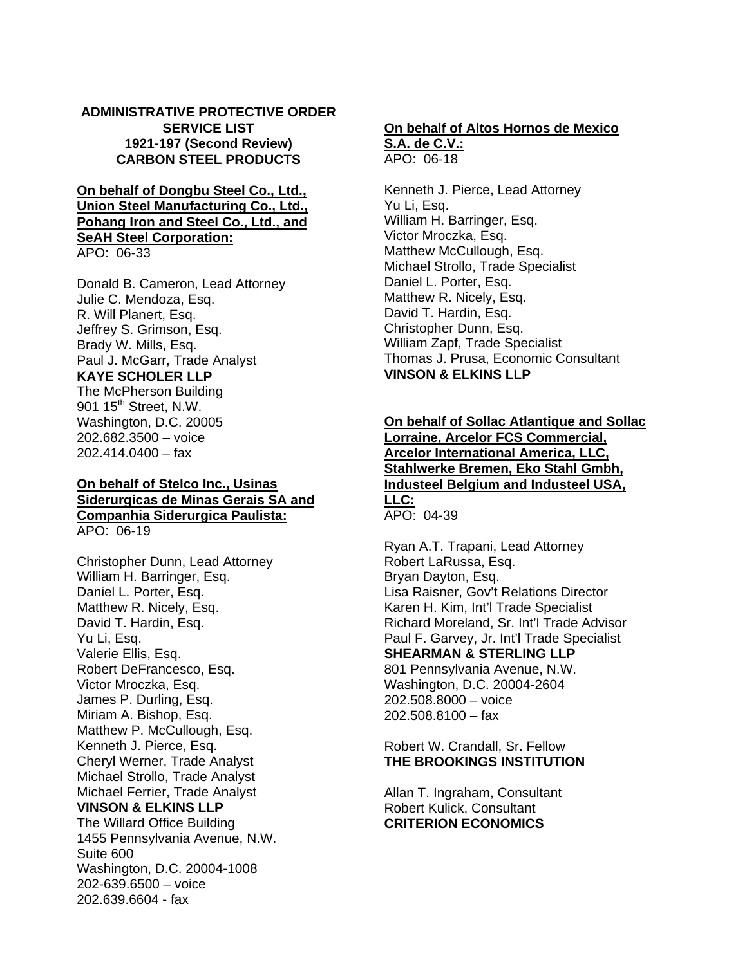### **ADMINISTRATIVE PROTECTIVE ORDER SERVICE LIST 1921-197 (Second Review) CARBON STEEL PRODUCTS**

**On behalf of Dongbu Steel Co., Ltd., Union Steel Manufacturing Co., Ltd., Pohang Iron and Steel Co., Ltd., and SeAH Steel Corporation:** APO: 06-33

Donald B. Cameron, Lead Attorney Julie C. Mendoza, Esq. R. Will Planert, Esq. Jeffrey S. Grimson, Esq. Brady W. Mills, Esq. Paul J. McGarr, Trade Analyst **KAYE SCHOLER LLP** The McPherson Building 901 15<sup>th</sup> Street, N.W. Washington, D.C. 20005 202.682.3500 – voice

202.414.0400 – fax

### **On behalf of Stelco Inc., Usinas Siderurgicas de Minas Gerais SA and Companhia Siderurgica Paulista:** APO: 06-19

Christopher Dunn, Lead Attorney William H. Barringer, Esq. Daniel L. Porter, Esq. Matthew R. Nicely, Esq. David T. Hardin, Esq. Yu Li, Esq. Valerie Ellis, Esq. Robert DeFrancesco, Esq. Victor Mroczka, Esq. James P. Durling, Esq. Miriam A. Bishop, Esq. Matthew P. McCullough, Esq. Kenneth J. Pierce, Esq. Cheryl Werner, Trade Analyst Michael Strollo, Trade Analyst Michael Ferrier, Trade Analyst **VINSON & ELKINS LLP** The Willard Office Building 1455 Pennsylvania Avenue, N.W. Suite 600 Washington, D.C. 20004-1008 202-639.6500 – voice 202.639.6604 - fax

### **On behalf of Altos Hornos de Mexico S.A. de C.V.:**

APO: 06-18

Kenneth J. Pierce, Lead Attorney Yu Li, Esq. William H. Barringer, Esq. Victor Mroczka, Esq. Matthew McCullough, Esq. Michael Strollo, Trade Specialist Daniel L. Porter, Esq. Matthew R. Nicely, Esq. David T. Hardin, Esq. Christopher Dunn, Esq. William Zapf, Trade Specialist Thomas J. Prusa, Economic Consultant **VINSON & ELKINS LLP** 

### **On behalf of Sollac Atlantique and Sollac Lorraine, Arcelor FCS Commercial, Arcelor International America, LLC, Stahlwerke Bremen, Eko Stahl Gmbh, Industeel Belgium and Industeel USA, LLC:** APO: 04-39

Ryan A.T. Trapani, Lead Attorney Robert LaRussa, Esq. Bryan Dayton, Esq. Lisa Raisner, Gov't Relations Director Karen H. Kim, Int'l Trade Specialist Richard Moreland, Sr. Int'l Trade Advisor Paul F. Garvey, Jr. Int'l Trade Specialist **SHEARMAN & STERLING LLP** 801 Pennsylvania Avenue, N.W. Washington, D.C. 20004-2604 202.508.8000 – voice 202.508.8100 – fax

Robert W. Crandall, Sr. Fellow **THE BROOKINGS INSTITUTION**

Allan T. Ingraham, Consultant Robert Kulick, Consultant **CRITERION ECONOMICS**